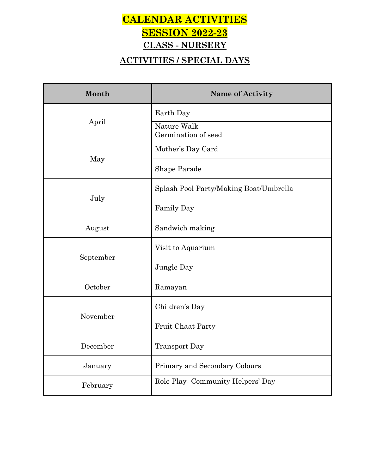## **CALENDAR ACTIVITIES SESSION 2022-23 CLASS - NURSERY**

#### **ACTIVITIES / SPECIAL DAYS**

| Month     | <b>Name of Activity</b>                |  |
|-----------|----------------------------------------|--|
|           | Earth Day                              |  |
| April     | Nature Walk<br>Germination of seed     |  |
| May       | Mother's Day Card                      |  |
|           | Shape Parade                           |  |
|           | Splash Pool Party/Making Boat/Umbrella |  |
| July      | Family Day                             |  |
| August    | Sandwich making                        |  |
| September | Visit to Aquarium                      |  |
|           | Jungle Day                             |  |
| October   | Ramayan                                |  |
| November  | Children's Day                         |  |
|           | <b>Fruit Chaat Party</b>               |  |
| December  | <b>Transport Day</b>                   |  |
| January   | Primary and Secondary Colours          |  |
| February  | Role Play-Community Helpers' Day       |  |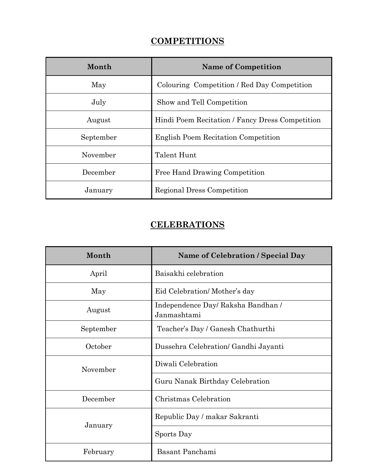#### **COMPETITIONS**

| Month     | <b>Name of Competition</b>                      |  |
|-----------|-------------------------------------------------|--|
| May       | Colouring Competition / Red Day Competition     |  |
| July      | Show and Tell Competition                       |  |
| August    | Hindi Poem Recitation / Fancy Dress Competition |  |
| September | <b>English Poem Recitation Competition</b>      |  |
| November  | Talent Hunt                                     |  |
| December  | Free Hand Drawing Competition                   |  |
| January   | Regional Dress Competition                      |  |

#### **CELEBRATIONS**

| Month     | <b>Name of Celebration / Special Day</b>          |  |
|-----------|---------------------------------------------------|--|
| April     | Baisakhi celebration                              |  |
| May       | Eid Celebration/Mother's day                      |  |
| August    | Independence Day/ Raksha Bandhan /<br>Janmashtami |  |
| September | Teacher's Day / Ganesh Chathurthi                 |  |
| October   | Dussehra Celebration/ Gandhi Jayanti              |  |
| November  | Diwali Celebration                                |  |
|           | Guru Nanak Birthday Celebration                   |  |
| December  | Christmas Celebration                             |  |
| January   | Republic Day / makar Sakranti                     |  |
|           | Sports Day                                        |  |
| February  | Basant Panchami                                   |  |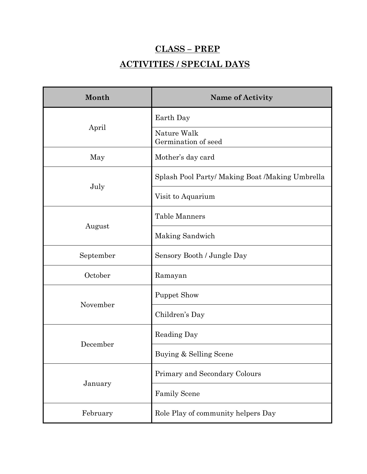# **CLASS – PREP ACTIVITIES / SPECIAL DAYS**

| Month     | <b>Name of Activity</b>                         |
|-----------|-------------------------------------------------|
|           | Earth Day                                       |
| April     | Nature Walk<br>Germination of seed              |
| May       | Mother's day card                               |
|           | Splash Pool Party/ Making Boat /Making Umbrella |
| July      | Visit to Aquarium                               |
|           | Table Manners                                   |
| August    | Making Sandwich                                 |
| September | Sensory Booth / Jungle Day                      |
| October   | Ramayan                                         |
|           | <b>Puppet Show</b>                              |
| November  | Children's Day                                  |
|           | Reading Day                                     |
| December  | Buying & Selling Scene                          |
|           | Primary and Secondary Colours                   |
| January   | <b>Family Scene</b>                             |
| February  | Role Play of community helpers Day              |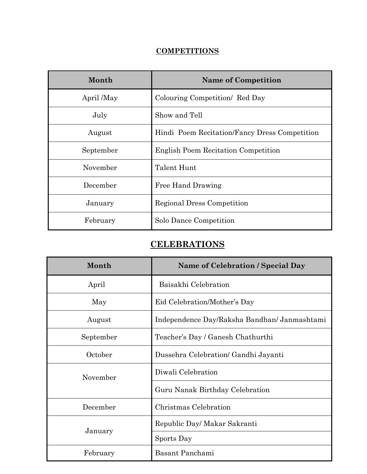#### **COMPETITIONS**

| Month      | <b>Name of Competition</b>                    |  |
|------------|-----------------------------------------------|--|
| April /May | Colouring Competition/ Red Day                |  |
| July       | Show and Tell                                 |  |
| August     | Hindi Poem Recitation/Fancy Dress Competition |  |
| September  | English Poem Recitation Competition           |  |
| November   | Talent Hunt                                   |  |
| December   | Free Hand Drawing                             |  |
| January    | Regional Dress Competition                    |  |
| February   | Solo Dance Competition                        |  |

#### **CELEBRATIONS**

| Month     | Name of Celebration / Special Day            |  |
|-----------|----------------------------------------------|--|
| April     | Baisakhi Celebration                         |  |
| May       | Eid Celebration/Mother's Day                 |  |
| August    | Independence Day/Raksha Bandhan/ Janmashtami |  |
| September | Teacher's Day / Ganesh Chathurthi            |  |
| October   | Dussehra Celebration/ Gandhi Jayanti         |  |
| November  | Diwali Celebration                           |  |
|           | Guru Nanak Birthday Celebration              |  |
| December  | Christmas Celebration                        |  |
| January   | Republic Day/ Makar Sakranti                 |  |
|           | Sports Day                                   |  |
| February  | Basant Panchami                              |  |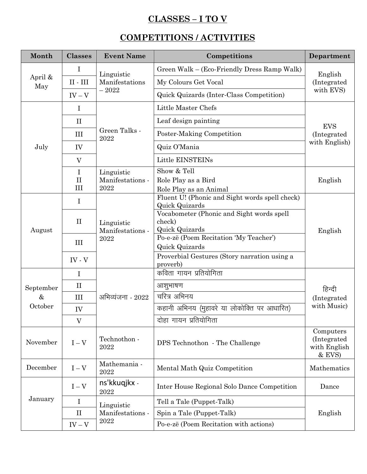#### **CLASSES – I TO V**

#### **COMPETITIONS / ACTIVITIES**

| Month          | <b>Classes</b>       | <b>Event Name</b>                      | Competitions                                                     | Department                                         |
|----------------|----------------------|----------------------------------------|------------------------------------------------------------------|----------------------------------------------------|
| April &<br>May | $\bf{I}$             | Linguistic<br>Manifestations           | Green Walk – (Eco-Friendly Dress Ramp Walk)                      | English<br>(Integrated<br>with EVS)                |
|                | $\rm II$ - $\rm III$ |                                        | My Colours Get Vocal                                             |                                                    |
|                | $IV - V$             | $-2022$                                | Quick Quizards (Inter-Class Competition)                         |                                                    |
|                | $\mathbf I$          | Green Talks -                          | Little Master Chefs                                              | <b>EVS</b><br>(Integrated)<br>with English)        |
|                | $\prod$              |                                        | Leaf design painting                                             |                                                    |
|                | III                  |                                        | Poster-Making Competition                                        |                                                    |
| July           | IV                   | 2022                                   | Quiz O'Mania                                                     |                                                    |
|                | V                    |                                        | Little EINSTEINs                                                 |                                                    |
|                | $\mathbf I$          | Linguistic                             | Show & Tell                                                      |                                                    |
|                | $\rm II$             | Manifestations -                       | Role Play as a Bird                                              | English                                            |
|                | III                  | 2022                                   | Role Play as an Animal                                           |                                                    |
|                | $\mathbf I$          |                                        | Fluent U! (Phonic and Sight words spell check)<br>Quick Quizards |                                                    |
|                |                      |                                        | Vocabometer (Phonic and Sight words spell                        |                                                    |
|                | $\mathbf{I}$         | Linguistic<br>Manifestations -<br>2022 | check)                                                           | English                                            |
| August         |                      |                                        | Quick Quizards                                                   |                                                    |
|                | III                  |                                        | Po-e-zë (Poem Recitation 'My Teacher')                           |                                                    |
|                |                      |                                        | Quick Quizards                                                   |                                                    |
|                | $IV - V$             |                                        | Proverbial Gestures (Story narration using a<br>proverb)         |                                                    |
|                | $\bf{I}$             |                                        | कविता गायन प्रतियोगिता                                           |                                                    |
|                |                      |                                        |                                                                  |                                                    |
| September<br>& | $\mathbf{I}$         |                                        | आशुभाषण                                                          | हिन्दी<br>(Integrated<br>with Music)               |
|                | III                  | अभिव्यंजना - 2022                      | चरित्र अभिनय                                                     |                                                    |
| October        | IV                   |                                        | कहानी अभिनय (मुहावरे या लोकोक्ति पर आधारित)                      |                                                    |
|                | $\rm V$              |                                        | दोहा गायन प्रतियोगिता                                            |                                                    |
| November       | $I - V$              | Technothon -<br>2022                   | DPS Technothon - The Challenge                                   | Computers<br>(Integrated<br>with English<br>& EVS) |
| December       | $I-V$                | Mathemania -<br>2022                   | Mental Math Quiz Competition                                     | Mathematics                                        |
|                | $I - V$              | ns'kkuqjkx -<br>2022                   | Inter House Regional Solo Dance Competition                      | Dance                                              |
| January        | I                    | Linguistic                             | Tell a Tale (Puppet-Talk)                                        |                                                    |
|                | $\mathbf{I}$         | Manifestations -                       | Spin a Tale (Puppet-Talk)                                        | English                                            |
|                | $IV - V$             | 2022                                   | Po-e-zë (Poem Recitation with actions)                           |                                                    |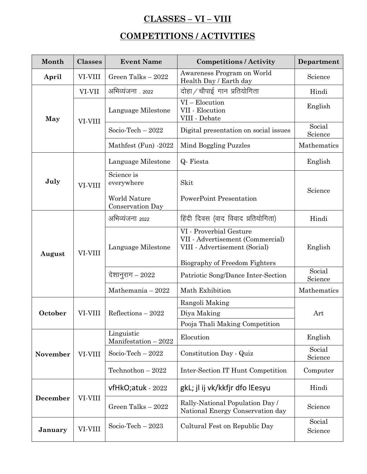#### **CLASSES – VI – VIII**

## **COMPETITIONS / ACTIVITIES**

| Month              | <b>Classes</b> | <b>Event Name</b>                       | <b>Competitions / Activity</b>                                                                                                | Department        |
|--------------------|----------------|-----------------------------------------|-------------------------------------------------------------------------------------------------------------------------------|-------------------|
| April              | VI-VIII        | Green Talks - 2022                      | Awareness Program on World<br>Health Day / Earth day                                                                          | Science           |
|                    | VI-VII         | अभिव्यंजना 2022                         | दोहा / चौपाई गान प्रतियोगिता                                                                                                  | Hindi             |
| May                | VI-VIII        | Language Milestone                      | $VI - Elocution$<br>VII - Elocution<br>VIII - Debate                                                                          | English           |
|                    |                | Socio-Tech $-2022$                      | Digital presentation on social issues                                                                                         | Social<br>Science |
|                    |                | Mathfest (Fun) -2022                    | Mind Boggling Puzzles                                                                                                         | Mathematics       |
|                    |                | Language Milestone                      | Q-Fiesta                                                                                                                      | English           |
| July               | VI-VIII        | Science is<br>everywhere                | Skit                                                                                                                          | Science           |
|                    |                | <b>World Nature</b><br>Conservation Day | <b>PowerPoint Presentation</b>                                                                                                |                   |
|                    |                | अभिव्यंजना 2022                         | हिंदी दिवस (वाद विवाद प्रतियोगिता)                                                                                            | Hindi             |
| August             | VI-VIII        | Language Milestone                      | VI - Proverbial Gesture<br>VII - Advertisement (Commercial)<br>VIII - Advertisement (Social)<br>Biography of Freedom Fighters | English           |
|                    |                | देशानुराग – 2022                        | Patriotic Song/Dance Inter-Section                                                                                            | Social<br>Science |
|                    |                | Mathemania $-2022$                      | Math Exhibition                                                                                                               | Mathematics       |
|                    |                |                                         | Rangoli Making                                                                                                                |                   |
| October<br>VI-VIII |                | Reflections $-2022$                     | Diya Making                                                                                                                   | Art               |
|                    |                | Pooja Thali Making Competition          |                                                                                                                               |                   |
| <b>November</b>    |                | Linguistic<br>Manifestation $-2022$     | Elocution                                                                                                                     | English           |
|                    | VI-VIII        | Socio-Tech $-2022$                      | Constitution Day - Quiz                                                                                                       | Social<br>Science |
|                    |                | Technothon $-2022$                      | Inter-Section IT Hunt Competition                                                                                             | Computer          |
| December           |                | vfHkO;atuk - 2022                       | gkL; jl ij vk/kkfjr dfo lEesyu                                                                                                | Hindi             |
|                    | VI-VIII        | Green Talks - 2022                      | Rally-National Population Day /<br>National Energy Conservation day                                                           | Science           |
| January            | VI-VIII        | Socio-Tech $-2023$                      | Cultural Fest on Republic Day                                                                                                 | Social<br>Science |